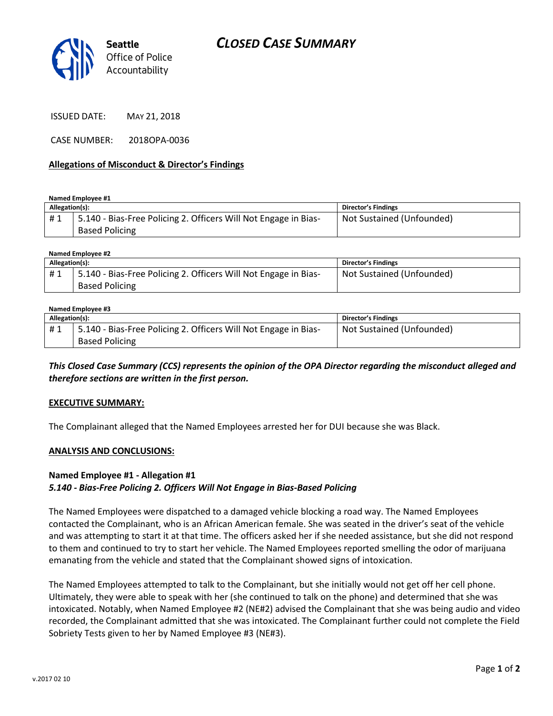

ISSUED DATE: MAY 21, 2018

CASE NUMBER: 2018OPA-0036

#### **Allegations of Misconduct & Director's Findings**

**Named Employee #1**

| Allegation(s): |                                                                 | <b>Director's Findings</b> |
|----------------|-----------------------------------------------------------------|----------------------------|
| #1             | 5.140 - Bias-Free Policing 2. Officers Will Not Engage in Bias- | Not Sustained (Unfounded)  |
|                | <b>Based Policing</b>                                           |                            |

| Named Emplovee #2 |                                                                 |                           |  |  |
|-------------------|-----------------------------------------------------------------|---------------------------|--|--|
| Allegation(s):    |                                                                 | Director's Findings       |  |  |
| #1                | 5.140 - Bias-Free Policing 2. Officers Will Not Engage in Bias- | Not Sustained (Unfounded) |  |  |
|                   | <b>Based Policing</b>                                           |                           |  |  |

#### **Named Employee #3**

| Allegation(s): |                                                                 | <b>Director's Findings</b> |
|----------------|-----------------------------------------------------------------|----------------------------|
| #1             | 5.140 - Bias-Free Policing 2. Officers Will Not Engage in Bias- | Not Sustained (Unfounded)  |
|                | <b>Based Policing</b>                                           |                            |

*This Closed Case Summary (CCS) represents the opinion of the OPA Director regarding the misconduct alleged and therefore sections are written in the first person.* 

#### **EXECUTIVE SUMMARY:**

The Complainant alleged that the Named Employees arrested her for DUI because she was Black.

#### **ANALYSIS AND CONCLUSIONS:**

### **Named Employee #1 - Allegation #1** *5.140 - Bias-Free Policing 2. Officers Will Not Engage in Bias-Based Policing*

The Named Employees were dispatched to a damaged vehicle blocking a road way. The Named Employees contacted the Complainant, who is an African American female. She was seated in the driver's seat of the vehicle and was attempting to start it at that time. The officers asked her if she needed assistance, but she did not respond to them and continued to try to start her vehicle. The Named Employees reported smelling the odor of marijuana emanating from the vehicle and stated that the Complainant showed signs of intoxication.

The Named Employees attempted to talk to the Complainant, but she initially would not get off her cell phone. Ultimately, they were able to speak with her (she continued to talk on the phone) and determined that she was intoxicated. Notably, when Named Employee #2 (NE#2) advised the Complainant that she was being audio and video recorded, the Complainant admitted that she was intoxicated. The Complainant further could not complete the Field Sobriety Tests given to her by Named Employee #3 (NE#3).